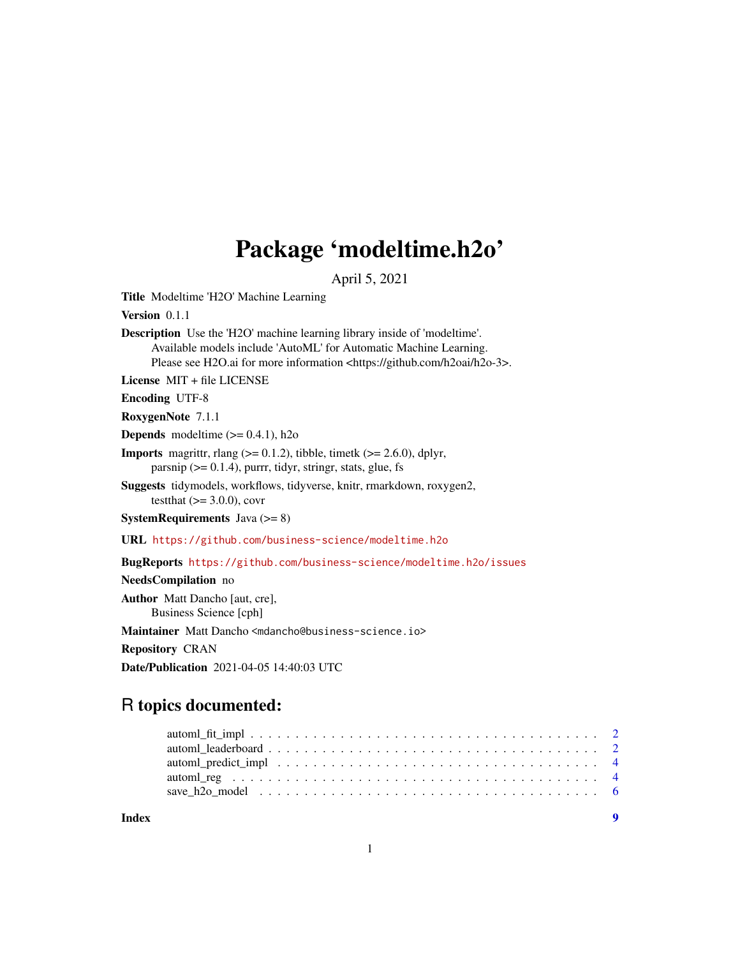## Package 'modeltime.h2o'

April 5, 2021

<span id="page-0-0"></span>Title Modeltime 'H2O' Machine Learning

Version 0.1.1

Description Use the 'H2O' machine learning library inside of 'modeltime'. Available models include 'AutoML' for Automatic Machine Learning. Please see H2O.ai for more information <https://github.com/h2oai/h2o-3>.

License MIT + file LICENSE

Encoding UTF-8

RoxygenNote 7.1.1

**Depends** modeltime  $(>= 0.4.1)$ , h<sub>2o</sub>

**Imports** magrittr, rlang  $(>= 0.1.2)$ , tibble, timetk  $(>= 2.6.0)$ , dplyr, parsnip  $(>= 0.1.4)$ , purrr, tidyr, stringr, stats, glue, fs

Suggests tidymodels, workflows, tidyverse, knitr, rmarkdown, roxygen2, testthat  $(>= 3.0.0)$ , covr

**SystemRequirements** Java  $(>= 8)$ 

URL <https://github.com/business-science/modeltime.h2o>

BugReports <https://github.com/business-science/modeltime.h2o/issues>

NeedsCompilation no

Author Matt Dancho [aut, cre], Business Science [cph]

Maintainer Matt Dancho <mdancho@business-science.io>

Repository CRAN

Date/Publication 2021-04-05 14:40:03 UTC

### R topics documented:

| Index |  |
|-------|--|
|       |  |
|       |  |
|       |  |
|       |  |
|       |  |

1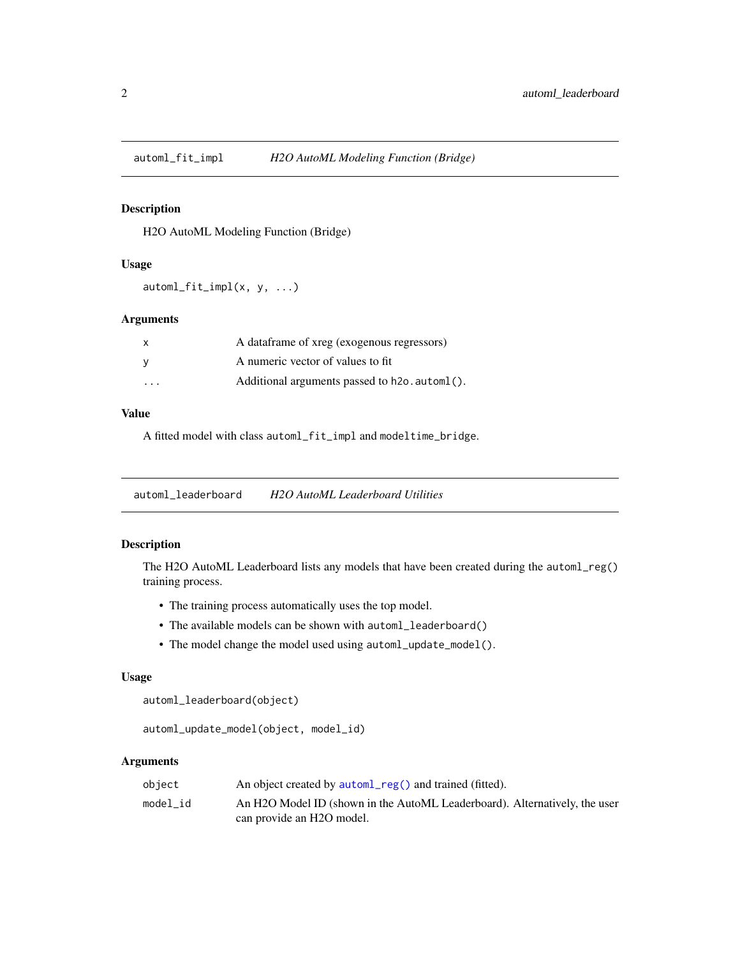<span id="page-1-0"></span>

#### Description

H2O AutoML Modeling Function (Bridge)

#### Usage

 $automl_fit\_impl(x, y, ...)$ 

#### Arguments

| X                       | A data frame of xreg (exogenous regressors)   |
|-------------------------|-----------------------------------------------|
| V                       | A numeric vector of values to fit             |
| $\cdot$ $\cdot$ $\cdot$ | Additional arguments passed to h2o. autom1(). |

#### Value

A fitted model with class automl\_fit\_impl and modeltime\_bridge.

automl\_leaderboard *H2O AutoML Leaderboard Utilities*

#### Description

The H2O AutoML Leaderboard lists any models that have been created during the automl\_reg() training process.

- The training process automatically uses the top model.
- The available models can be shown with automl\_leaderboard()
- The model change the model used using automl\_update\_model().

#### Usage

```
automl_leaderboard(object)
```

```
automl_update_model(object, model_id)
```
#### Arguments

| obiect   | An object created by autom <sub>1</sub> reg() and trained (fitted).                     |
|----------|-----------------------------------------------------------------------------------------|
| model id | An H <sub>2</sub> O Model ID (shown in the AutoML Leaderboard). Alternatively, the user |
|          | can provide an H <sub>2</sub> O model.                                                  |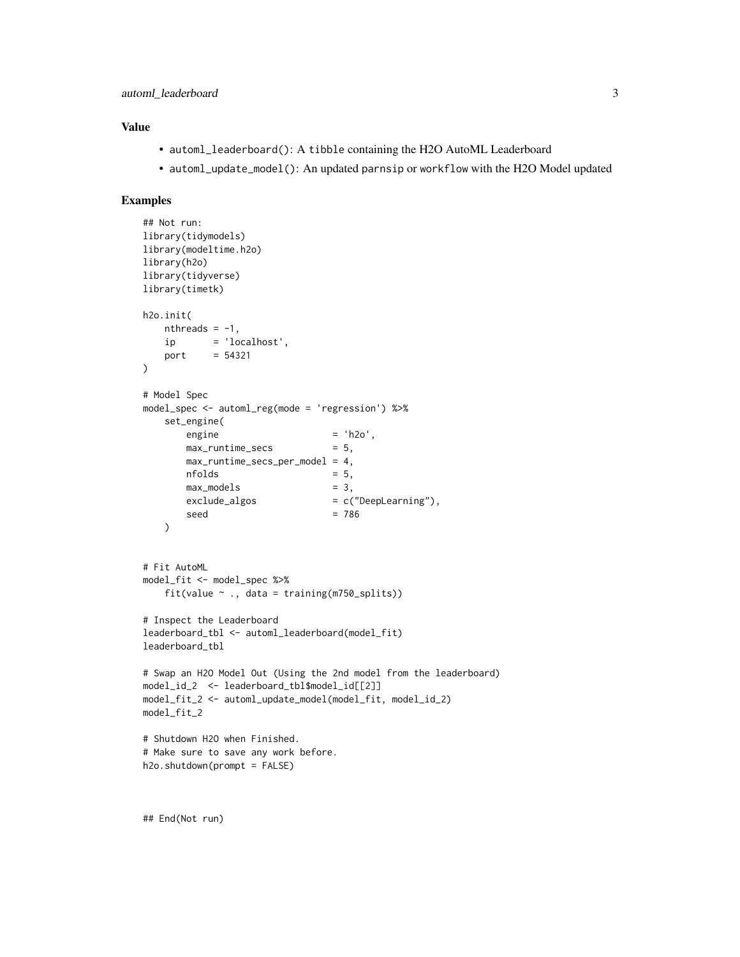#### Value

- automl\_leaderboard(): A tibble containing the H2O AutoML Leaderboard
- automl\_update\_model(): An updated parnsip or workflow with the H2O Model updated

#### Examples

```
## Not run:
library(tidymodels)
library(modeltime.h2o)
library(h2o)
library(tidyverse)
library(timetk)
h2o.init(
   nthreads = -1,
   ip = 'localhost',
   port = 54321\lambda# Model Spec
model_spec <- automl_reg(mode = 'regression') %>%
   set_engine(
      \angleengine = 'h2o',
      max_runtime_secs = 5,
      max_runtime_secs_per_model = 4,
      nfolds = 5,
      max_models = 3,
      exclude_algos = c("DeepLearning"),
       seed = 786
   )
# Fit AutoML
model_fit <- model_spec %>%
   fit(value ~ ., data = training(m750_splits))
# Inspect the Leaderboard
leaderboard_tbl <- automl_leaderboard(model_fit)
leaderboard_tbl
# Swap an H2O Model Out (Using the 2nd model from the leaderboard)
model_id_2 <- leaderboard_tbl$model_id[[2]]
model_fit_2 <- automl_update_model(model_fit, model_id_2)
model_fit_2
# Shutdown H2O when Finished.
# Make sure to save any work before.
h2o.shutdown(prompt = FALSE)
```
## End(Not run)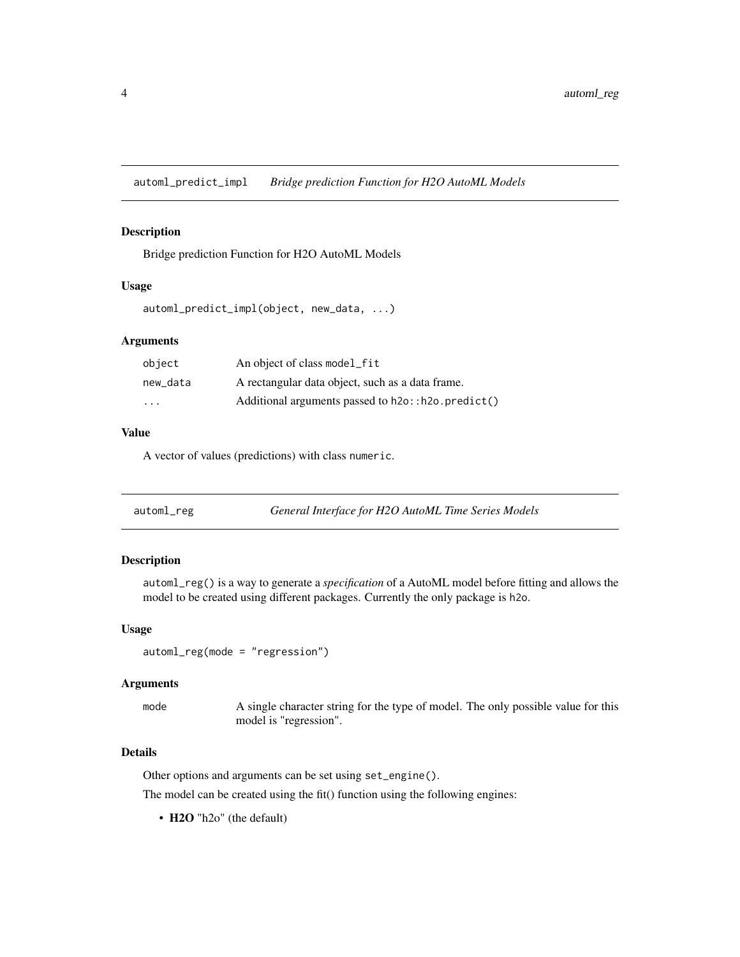<span id="page-3-0"></span>automl\_predict\_impl *Bridge prediction Function for H2O AutoML Models*

#### Description

Bridge prediction Function for H2O AutoML Models

#### Usage

```
automl_predict_impl(object, new_data, ...)
```
#### Arguments

| object                  | An object of class model_fit                               |
|-------------------------|------------------------------------------------------------|
| new_data                | A rectangular data object, such as a data frame.           |
| $\cdot$ $\cdot$ $\cdot$ | Additional arguments passed to $h2o$ : $h2o$ . $predict()$ |

#### Value

A vector of values (predictions) with class numeric.

<span id="page-3-1"></span>

| General Interface for H2O AutoML Time Series Models<br>automl_reg |  |
|-------------------------------------------------------------------|--|
|-------------------------------------------------------------------|--|

#### Description

automl\_reg() is a way to generate a *specification* of a AutoML model before fitting and allows the model to be created using different packages. Currently the only package is h2o.

#### Usage

```
automl_reg(mode = "regression")
```
#### Arguments

mode A single character string for the type of model. The only possible value for this model is "regression".

#### Details

Other options and arguments can be set using set\_engine().

The model can be created using the fit() function using the following engines:

• H2O "h2o" (the default)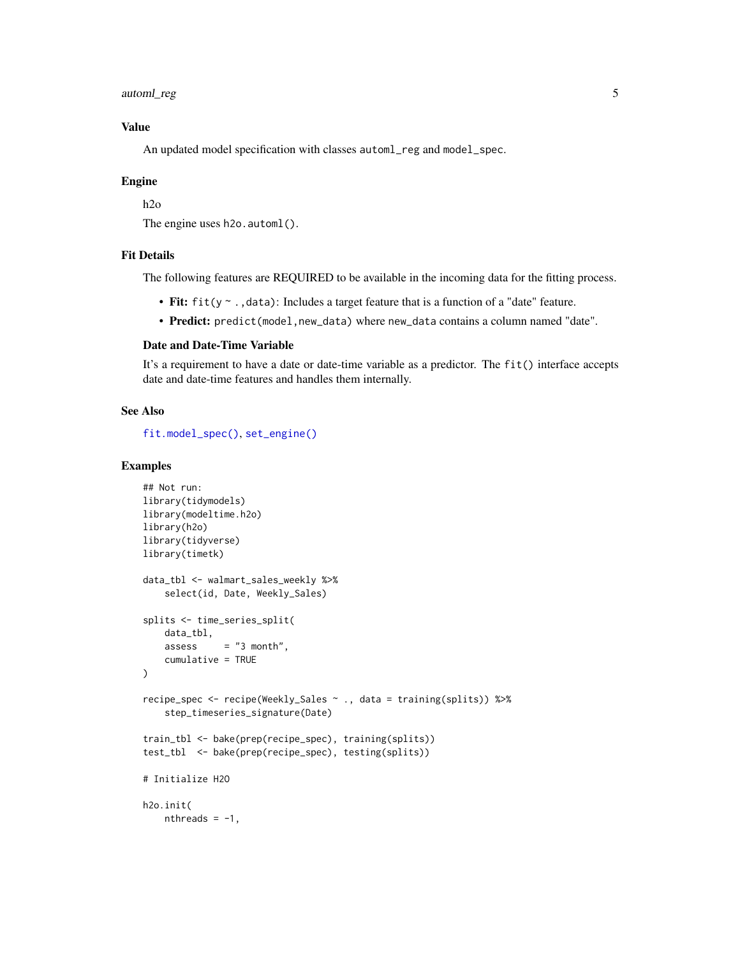<span id="page-4-0"></span>automl\_reg 5

#### Value

An updated model specification with classes automl\_reg and model\_spec.

#### Engine

h2o

The engine uses h2o. automl().

#### Fit Details

The following features are REQUIRED to be available in the incoming data for the fitting process.

- Fit: fit(y ~ ., data): Includes a target feature that is a function of a "date" feature.
- Predict: predict(model,new\_data) where new\_data contains a column named "date".

#### Date and Date-Time Variable

It's a requirement to have a date or date-time variable as a predictor. The fit() interface accepts date and date-time features and handles them internally.

#### See Also

[fit.model\\_spec\(\)](#page-0-0), [set\\_engine\(\)](#page-0-0)

#### Examples

```
## Not run:
library(tidymodels)
library(modeltime.h2o)
library(h2o)
library(tidyverse)
library(timetk)
data_tbl <- walmart_sales_weekly %>%
    select(id, Date, Weekly_Sales)
splits <- time_series_split(
   data_tbl,
    assess = "3 month".cumulative = TRUE
\mathcal{L}recipe_spec <- recipe(Weekly_Sales ~ ., data = training(splits)) %>%
    step_timeseries_signature(Date)
train_tbl <- bake(prep(recipe_spec), training(splits))
test_tbl <- bake(prep(recipe_spec), testing(splits))
# Initialize H2O
h2o.init(
   nthreads = -1,
```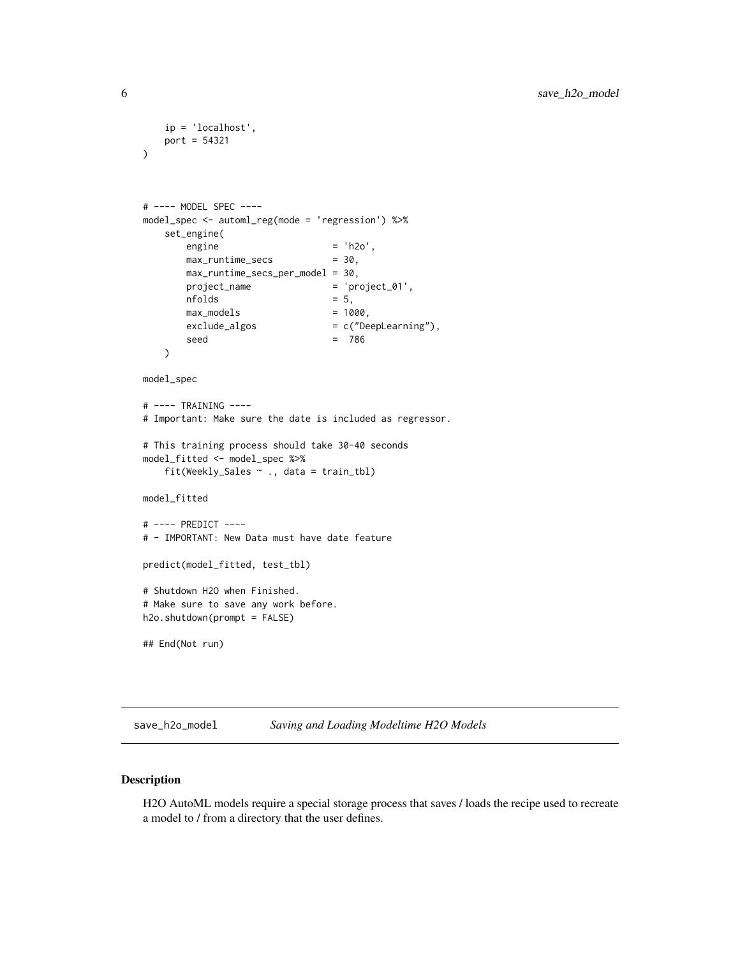```
ip = 'localhost',
   port = 54321
)
# ---- MODEL SPEC ----
model_spec <- automl_reg(mode = 'regression') %>%
   set_engine(
      \text{engine} = 'h2o',
      max_runtime_secs = 30,
      max_runtime_secs_per_model = 30,
      project_name = 'project_01',
      nfolds = 5,
      max_models = 1000,
      exclude_algos = c("DeepLearning"),
      seed = 786
   )
model_spec
# ---- TRAINING ----
# Important: Make sure the date is included as regressor.
# This training process should take 30-40 seconds
model_fitted <- model_spec %>%
   fit(Weekly_Sales ~ ., data = train_tbl)
model_fitted
# ---- PREDICT ----
# - IMPORTANT: New Data must have date feature
predict(model_fitted, test_tbl)
# Shutdown H2O when Finished.
# Make sure to save any work before.
h2o.shutdown(prompt = FALSE)
## End(Not run)
```

```
save_h2o_model Saving and Loading Modeltime H2O Models
```
#### Description

H2O AutoML models require a special storage process that saves / loads the recipe used to recreate a model to / from a directory that the user defines.

<span id="page-5-0"></span>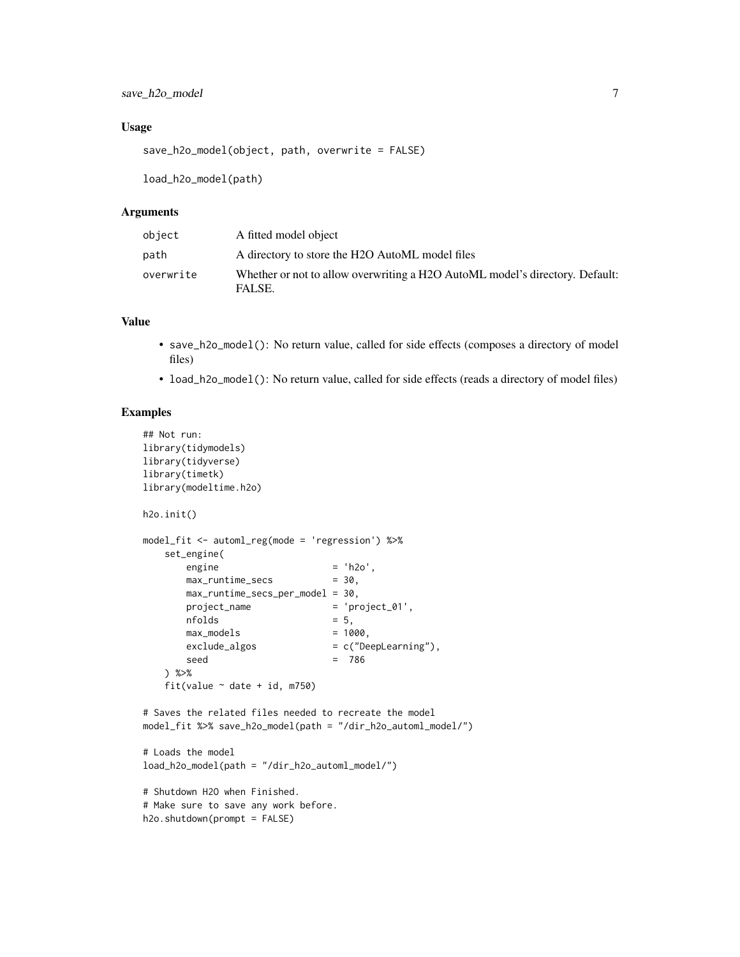#### Usage

save\_h2o\_model(object, path, overwrite = FALSE)

load\_h2o\_model(path)

#### Arguments

| object    | A fitted model object                                                                  |
|-----------|----------------------------------------------------------------------------------------|
| path      | A directory to store the H2O AutoML model files                                        |
| overwrite | Whether or not to allow overwriting a H2O AutoML model's directory. Default:<br>FALSE. |

#### Value

- save\_h2o\_model(): No return value, called for side effects (composes a directory of model files)
- load\_h2o\_model(): No return value, called for side effects (reads a directory of model files)

#### Examples

```
## Not run:
library(tidymodels)
library(tidyverse)
library(timetk)
library(modeltime.h2o)
h2o.init()
model_fit <- automl_reg(mode = 'regression') %>%
   set_engine(
      \text{engine} = 'h2o',
      max_runtime_secs = 30,
      max_runtime_secs_per_model = 30,
      project_name = 'project_01',
      nfolds = 5,
      max_models = 1000,
      exclude_algos = c("DeepLearning"),
      seed = 786
   ) %>%
   fit(value \sim date + id, m750)
# Saves the related files needed to recreate the model
model_fit %>% save_h2o_model(path = "/dir_h2o_automl_model/")
# Loads the model
load_h2o_model(path = "/dir_h2o_automl_model/")
# Shutdown H2O when Finished.
# Make sure to save any work before.
h2o.shutdown(prompt = FALSE)
```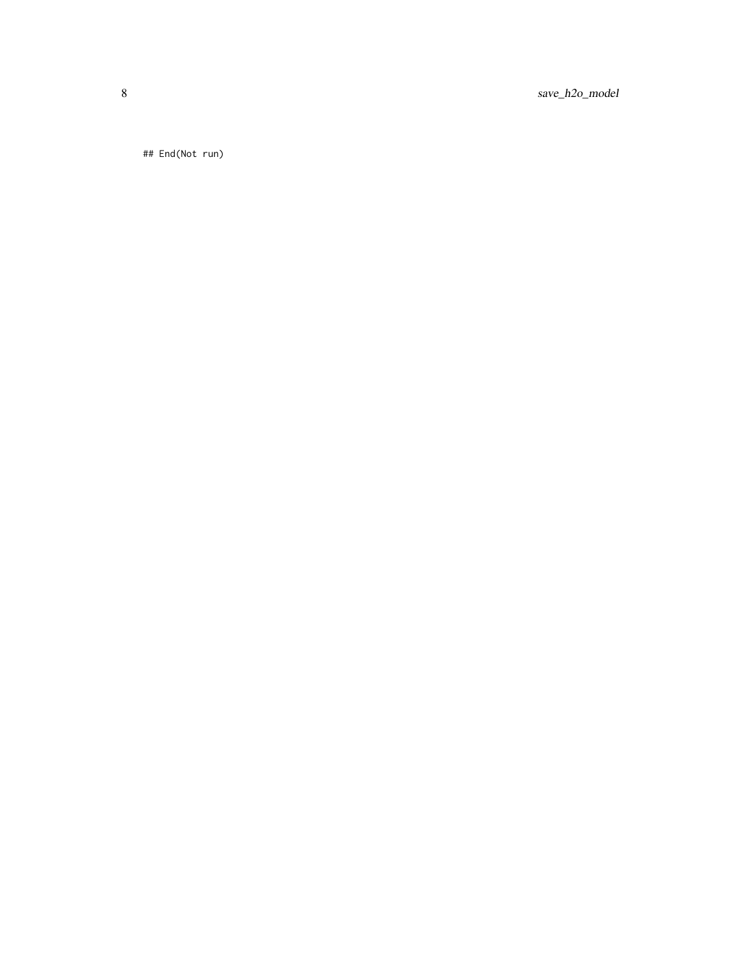8 save\_h2o\_model

## End(Not run)